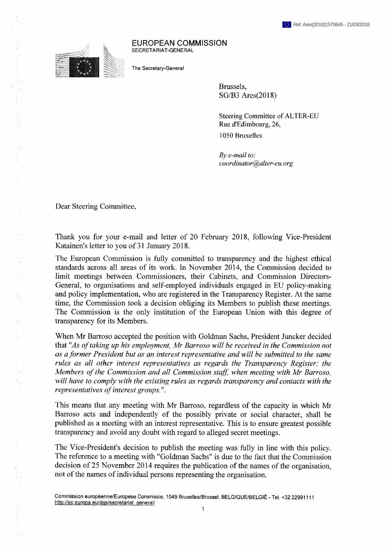## EUROPEAN COMMISSION SECRETARIAT-GENERAL

The Secretary-General

Brussels, SG/B3 Ares(2018)

Steering Committee of ALTER-EU Rue d'Edimbourg, 26, 1050 Bruxelles

*By e-mail to: coordinator@alter-eu. org*

Dear Steering Committee,

1970年12月12日,1989年12月1日,1989年,1989年,1989年,1989年,1989年,1989年,1989年,1989年,1989年,1989年,1989年,1989年,1989年 1989年,1989年,1989年,1989年,1989年,1989年,1989年,1989年,1989年,1989年,1989年,1989年,1989年,1989年,1989年,1989年,1989年,1989年,1989年,1989年,

→ Part のことに、このことに、このことには、このことには、このことには、このことには、このことには、このことには、このことは、このことは、このことには、このことには、このことには、このことには、 このことは、 このことに このことが、 このことが、 このことが、 このことに このことに このこと

Thank you for your e-mail and letter of 20 February 2018, following Vice-President Katainen's letter to you of 31 January 2018.

The European Commission is fully committed to transparency and the highest ethical standards across all areas of its work. In November 2014, the Commission decided to limit meetings between Commissioners, their Cabinets, and Commission Directors-General, to organisations and self-employed individuals engaged in EU policy-making and policy implementation, who are registered in the Transparency Register. At the same time, the Commission took a decision obliging its Members to publish these meetings. The Commission is the only institution of the European Union with this degree of transparency for its Members.

When Mr Barroso accepted the position with Goldman Sachs, President Juncker decided that *"As oftaking up his employment, Mr Barroso will be received in the Commission not as aformer President but as an interest representative and will be submitted to the same rules as all other interest representatives as regards the Transparency Register; the Members ofthe Commission and all Commission staff when meeting with Mr Barroso, will have to comply with the existing rules as regards transparency and contacts with the representatives ofinterest groups.* ".

This means that any meeting with Mr Barroso, regardless of the capacity in which Mr Barroso acts and independently of the possibly private or social character, shall be published as a meeting with an interest representative. This is to ensure greatest possible transparency and avoid any doubt with regard to alleged secret meetings.

The Vice-President's decision to publish the meeting was fully in line with this policy. The reference to a meeting with "Goldman Sachs" is due to the fact that the Commission decision of 25 November 2014 requires the publication of the names of the organisation, not of the names of individual persons representing the organisation.

Commission europėenne/Europese Commissie, 1049 Bruxelles/Brussel, BELGIQUE/BELGIË - Tel. +32 22991111 http://ec.europa.eu/dgs/secretariat\_general/